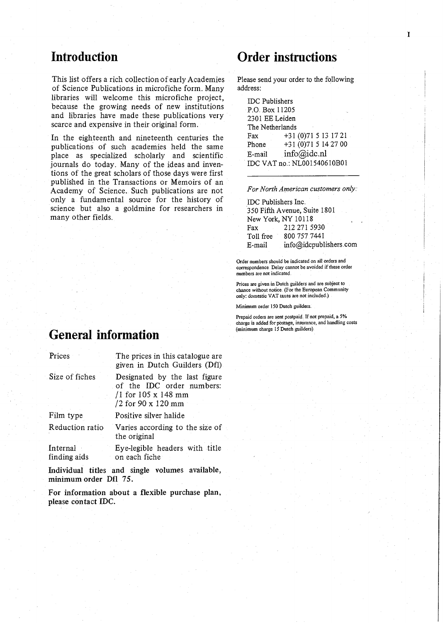# Introduction

This list offers a rich collection of early Academies of Science Publications in microfiche form. Many libraries will welcome this microfiche project, because the growing needs of new institutions and libraries have made these publications very scarce and expensive in their original form.

In the eighteenth and nineteenth centuries the Fax<br>muhications of such academies held the same Phone publications of such academies held the same<br>place as specialized scholarly and scientific E-mail place as specialized scholarly and scientific journals do today. Many of the ideas and inventions of the great scholars of those days were first published in the Transactions or Memoirs of an Academy of Science. Such publications are not only a fundamental source for the history of science but also a goldmine for researchers in many other fields.

# General information

| Prices                   | The prices in this catalogue are.<br>given in Dutch Guilders (Dfl).                                         |
|--------------------------|-------------------------------------------------------------------------------------------------------------|
| Size of fiches           | Designated by the last figure<br>of the IDC order numbers:<br>$/1$ for 105 x 148 mm<br>$/2$ for 90 x 120 mm |
| Film type                | Positive silver halide                                                                                      |
| Reduction ratio          | Varies according to the size of<br>the original                                                             |
| Internal<br>finding aids | Eye-legible headers with title<br>on each fiche                                                             |

Individual titles and single volumes available, minimum order Dfl 75.

For information about a flexible purchase plan, please contact IDC.

# Order instructions

Please send your order to the following address:

IDC Publishers P.O. Box 11205 2301 EE Leiden The Netherlands Fax +31 (0)715 13 17 21 +31 (0)71 5 14 27 00  $info(\vec{\omega})$ idc.nl IDC VAT no.: NL001540610B01

For North American customers only:

IDC Publishers Inc. 350 Fifth Avenue, Suite 1801 New York, NY 10118 Fax 212 271 5930 Toll free 800 757 7441 E-mail info@idcpublishers.com

Order numbers should be indicated on all orders and correspondence Delay cannot be avoided if these order numbers are not indicated.

Prices are given in Dutch guilders and are subject to chance without notice. (For the European Community only: domestic VAT taxes are not included,)

Minimum order 150 Dutch guilders.

Prepaid orders are sent postpaid.. If not prepaid, a 5% charge is added for postage, insurance, and handling costs (minimum charge IS Dutch guilders)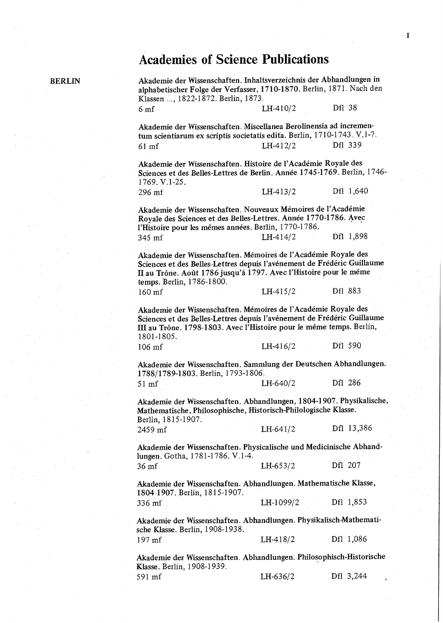## Academies of Science Publications

BERLIN Akademie der Wissenschaften. Inhaltsverzeichnis der Abhandlungen in alphabetischer Folge der Verfasser, 1710-1870. Berlin, 1871.. Nach den Klassen .... 1822-1872. Berlin, 1873. 6 mf LH-410/2 Dfl 38 Akademie der Wissenschaften. Miscellanea Berolinensia ad incremen-

tum scientiarum ex scriptis societatis edita. Berlin, 1710-1743. V.1-7. 61 mf LH-412/2 Dfl 339

Akademie der Wissenschaften. Histoire de l'Académie Royale des Sciences et des Belles-Lettres de Berlin. Annee 1745-1769.. Berlin, 1746- 1769. V.1-25.

296 mf LH-413/2 Dfl 1,640

Akademie der Wissenschaften. Nouveaux Mémoires de l'Académie Royale des Sciences et des Belles-Lettres. Annee 1770-1786. Avec l'Histoire pour les mêmes années. Berlin, 1770-1786. 345 mf **LH-414/2** Dfl 1,898

Akademie der Wissenschaften. Mémoires de l'Académie Royale des Sciences et des Belles-Lettres depuis l'avènement de Frédéric Guillaume II au Trône. Août 1786 jusqu'à 1797. Avec l'Histoire pour le même temps. Berlin, 1786-1800. 160 mf **LH-415/2** Dfl 883

Akademie der Wissenschaften. Mémoires de l'Académie Royale des Sciences et des Belles-Lettres depuis l'avenement de Frederic Guillaume III au Trône. 1798-1803. Avec l'Histoire pour le même temps. Berlin, 1801-1805.

| 106 mf |  | $LH-416/2$ | Df1 590 |
|--------|--|------------|---------|
|        |  |            |         |

Akademie der Wissenschaften. Sammlung der Deutschen Abhandlungen. 1788/1789-1803. Berlin, 1793-1806.

51 mf LH-640/2 Dfl 286

Akademie der Wissenschaften. Abhandlungen, 1804-1907. Physikalische, Mathematische, Philosophische, Historisch-Philologische Klasse. Berlin, 1815-1907.

2459 mf LH-641/2 Dfl 13,386

Akademie der Wissenschaften. Physicalische and Medicinische Abhandlungen. Gotha, 1781-1786. V.1-4.

36 mf LH-653/2 Dfl 207

Akademie der Wissenschaften. Abhandlungen. Mathematische Klasse, 1804.1907. Berlin, 1815-1907. 336 mf LH-1099/2 Dfl 1,853

Akademie der Wissenschaften. Abhandlungen. Physikalisch-Mathematische Klasse. Berlin, 1908-1938. 197 mf LH-418/2 Dfl 1,086

Akademie der Wissenschaften.. Abhandlungen. Philosophisch-Historische Klasse. Berlin, 1908-1939.. 591 mf LH-636/2 Dfl 3,244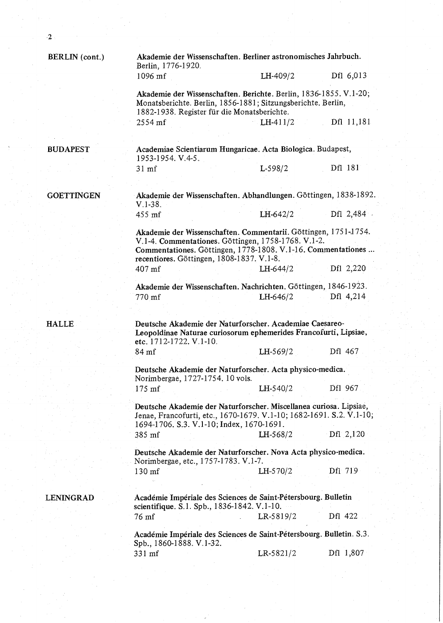| BERLIN (cont.)    | Berlin, 1776-1920.                                                                                                                                      | Akademie der Wissenschaften. Berliner astronomisches Jahrbuch.                                                                                                                         |               |  |  |
|-------------------|---------------------------------------------------------------------------------------------------------------------------------------------------------|----------------------------------------------------------------------------------------------------------------------------------------------------------------------------------------|---------------|--|--|
|                   | 1096 mf                                                                                                                                                 | LH-409/2                                                                                                                                                                               | Df1 6,013     |  |  |
|                   |                                                                                                                                                         | Akademie der Wissenschaften. Berichte. Berlin, 1836-1855. V.1-20;<br>Monatsberichte. Berlin, 1856-1881; Sitzungsberichte. Berlin,<br>1882-1938. Register für die Monatsberichte.       |               |  |  |
|                   | 2554 mf                                                                                                                                                 | $LH-411/2$                                                                                                                                                                             | Dfl 11,181    |  |  |
|                   |                                                                                                                                                         |                                                                                                                                                                                        |               |  |  |
| <b>BUDAPEST</b>   | 1953-1954. V.4-5.                                                                                                                                       | Academiae Scientiarum Hungaricae. Acta Biologica. Budapest,                                                                                                                            |               |  |  |
|                   | $31 \text{ m}$ f                                                                                                                                        | L-598/2                                                                                                                                                                                | Dfl 181       |  |  |
|                   |                                                                                                                                                         |                                                                                                                                                                                        |               |  |  |
| <b>GOETTINGEN</b> | $V.1-38.$                                                                                                                                               | Akademie der Wissenschaften. Abhandlungen. Göttingen, 1838-1892.                                                                                                                       |               |  |  |
|                   | 455 mf                                                                                                                                                  | $LH-642/2$                                                                                                                                                                             | Df1 2,484     |  |  |
|                   | recentiores. Göttingen, 1808-1837. V.1-8.                                                                                                               | Akademie der Wissenschaften. Commentarii. Göttingen, 1751-1754.<br>V.1-4. Commentationes. Göttingen, 1758-1768. V.1-2.<br>Commentationes. Göttingen, 1778-1808. V.1-16. Commentationes |               |  |  |
|                   | 407 mf                                                                                                                                                  | $LH - 644/2$                                                                                                                                                                           | Df1 2,220     |  |  |
|                   |                                                                                                                                                         | Akademie der Wissenschaften. Nachrichten. Göttingen, 1846-1923.                                                                                                                        |               |  |  |
|                   | 770 mf                                                                                                                                                  | LH-646/2                                                                                                                                                                               | Dfl 4,214     |  |  |
|                   |                                                                                                                                                         |                                                                                                                                                                                        |               |  |  |
| <b>HALLE</b>      | Deutsche Akademie der Naturforscher. Academiae Caesareo-<br>Leopoldinae Naturae curiosorum ephemerides Francofurti, Lipsiae,<br>etc. 1712-1722. V.1-10. |                                                                                                                                                                                        |               |  |  |
|                   | 84 mf                                                                                                                                                   | LH-569/2                                                                                                                                                                               | Dfl 467       |  |  |
|                   | Norimbergae, 1727-1754. 10 vols.                                                                                                                        | Deutsche Akademie der Naturforscher. Acta physico-medica.                                                                                                                              |               |  |  |
|                   | $175$ mf                                                                                                                                                | LH-540/2                                                                                                                                                                               | Df1 967       |  |  |
|                   | 1694-1706. S.3. V.1-10; Index, 1670-1691.                                                                                                               | Deutsche Akademie der Naturforscher. Miscellanea curiosa. Lipsiae,<br>Jenae, Francofurti, etc., 1670-1679. V.1-10; 1682-1691. S.2. V.1-10;                                             |               |  |  |
|                   | 385 mf                                                                                                                                                  | LH-568/2                                                                                                                                                                               | $Df1 \ 2,120$ |  |  |
|                   | Norimbergae, etc., 1757-1783. V.1-7.                                                                                                                    | Deutsche Akademie der Naturforscher. Nova Acta physico-medica.                                                                                                                         |               |  |  |
|                   | 130 mf                                                                                                                                                  | $LH - 570/2$                                                                                                                                                                           | Dfl 719       |  |  |
|                   |                                                                                                                                                         |                                                                                                                                                                                        |               |  |  |
| <b>LENINGRAD</b>  | scientifique. S.1. Spb., 1836-1842. V.1-10.                                                                                                             | Académie Impériale des Sciences de Saint-Pétersbourg. Bulletin                                                                                                                         |               |  |  |
|                   | 76 mf                                                                                                                                                   | LR-5819/2                                                                                                                                                                              | Dfl 422       |  |  |
|                   | Spb., 1860-1888. V.1-32.                                                                                                                                | Académie Impériale des Sciences de Saint-Pétersbourg. Bulletin. S.3.                                                                                                                   |               |  |  |
|                   | 331 mf                                                                                                                                                  | LR-5821/2                                                                                                                                                                              | Dfl 1,807     |  |  |
|                   |                                                                                                                                                         |                                                                                                                                                                                        |               |  |  |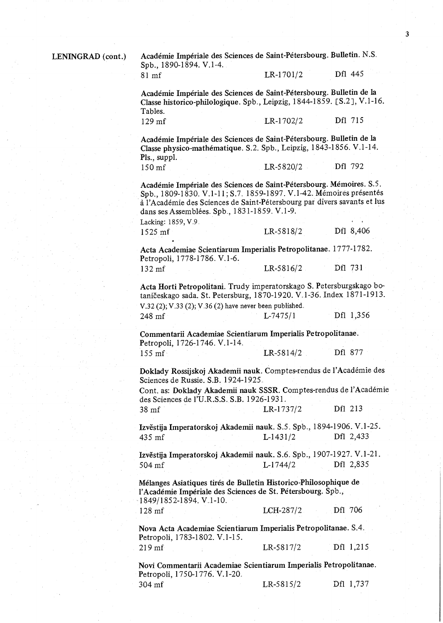LENINGRAD (cont.) Académie Impériale des Sciences de Saint-Pétersbourg. Bulletin. N.S. Spb., 1890-1894. V.1-4.

#### 81 mf LR-1701/2 Dfl 445

Academie Imperiale des Sciences de Saint-Petersbourg. Bulletin de la Classe historico-philologique. Spb., Leipzig, 1844-1859. [S.2], V.1-16. Tables.

129 mf LR-1702/2 Dfl 715

Academie Imperiale des Sciences de Saint-Petersbourg. Bulletin de la Classe physico-mathematique. S.2. Spb., Leipzig, 1843-1856. V.1-14. Pls., suppl. 150 mf LR-5820/2 Dfl 792

Académie Impériale des Sciences de Saint-Pétersbourg. Mémoires. S.5. Spb., 1809-1830. V.1-11; S.7. 1859-1897. V.1-42. Mémoires présentés a 1'Academie des Sciences de Saint-Petersbourg par divers savants et lus dans ses Assemblées. Spb., 1831-1859. V.1-9.

Lacking: 1859, V.9 1525 mf LR-5818/2 Dfl 8,406

Acta Academiae Scientiarum Imperialis Petropolitanae.. 1777-1782. Petropoli, 1778-1786. V.1-6. 132 mf LR-5816/2 Dfl 731

Acta Horti Petropolitani. Trudy imperatorskago S. Petersburgskago botaniceskago sada. St. Petersburg, 1870-1920. V.1-36. Index 1871-1913. V.32  $(2)$ ; V.33  $(2)$ ; V.36  $(2)$  have never been published.

| $\sim$ $\sim$ | $\sim$ $\sim$ |          |           |  |
|---------------|---------------|----------|-----------|--|
| 248 mf        |               | L-7475/1 | Dfl 1,356 |  |
|               |               |          |           |  |

Commentarii Academiae Scientiarum Imperialis Petropolitanae. Petropoli, 1726-1746. V.1-14.. 155 mf LR-5814/2 Dfl 877

Doklady Rossijskoj Akademii nauk. Comptes-rendus de l'Académie des Sciences de Russie. S.B. 1924-1925.

Cont. as: Doklady Akademii nauk SSSR. Comptes-rendus de 1'Academie des Sciences de l'U.R.S.S.. S.B. 1926-1931.

:38 mf LR-1737/2 Dfl 213

Izvěstija Imperatorskoj Akademii nauk. S.5. Spb., 1894-1906. V.1-25. 4,35 mf L-1431/2 Dfl 2,433

Izvěstija Imperatorskoj Akademii nauk. S.6. Spb., 1907-1927. V.1-21. 504 mf L-1744/2 Dfl 2,835

Melanges Asiatiques tires de Bulletin Historico-Philosophique de l'Académie Impériale des Sciences de St. Pétersbourg. Spb., 1849/1852-1894. V.1-10.,

128 mf LCH-287/2 Dfl 706

Nova Acta Academiae Scientiarum Imperialis Petropolitanae. S.4.. Petropoli, 1783-1802. V.1-15. 219 mf' LR-5817/2 Dfl 1,215

Novi Commentarii Academiae Scientiarum Imperialis Petropolitanae. Petropoli, 1750-1776. V.1-20.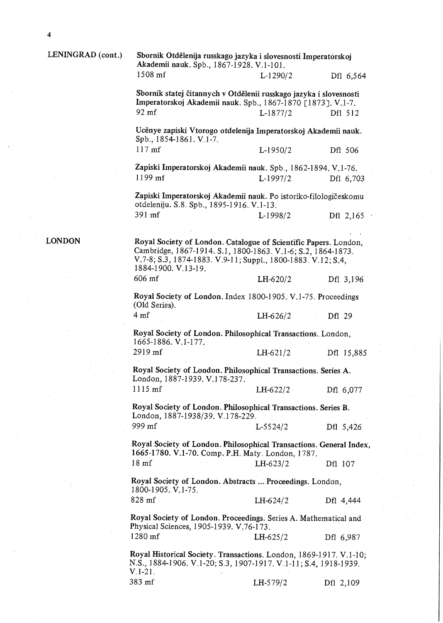LONDON

### LENINGRAD (cont.)

| Sbornik Otdělenija russkago jazyka i slovesnosti Imperatorskoj<br>Akademii nauk. Spb., 1867-1928. V.1-101.                                                                                                              |              |            |
|-------------------------------------------------------------------------------------------------------------------------------------------------------------------------------------------------------------------------|--------------|------------|
| 1508 mf                                                                                                                                                                                                                 | L-1290/2     | Df1 6,564  |
| Sbornik statej čitannych v Otdělenii russkago jazyka i slovesnosti<br>Imperatorskoj Akademii nauk. Spb., 1867-1870 [1873]. V.1-7.                                                                                       |              |            |
| 92 mf                                                                                                                                                                                                                   | $L-1877/2$   | Df1 512    |
| Ucěnye zapiski Vtorogo otdelenija Imperatorskoj Akademii nauk.<br>Spb., 1854-1861. V.1-7.                                                                                                                               |              |            |
| $117$ mf                                                                                                                                                                                                                | $L-1950/2$   | Df1 506    |
| Zapiski Imperatorskoj Akademii nauk. Spb., 1862-1894. V.1-76.                                                                                                                                                           |              |            |
| 1199 mf                                                                                                                                                                                                                 | $L-1997/2$   | Dfl 6,703  |
| Zapiski Imperatorskoj Akademii nauk. Po istoriko-filologičeskomu<br>otdeleniju. S.8. Spb., 1895-1916. V.1-13.                                                                                                           |              |            |
| 391 mf                                                                                                                                                                                                                  | $L-1998/2$   | Dfl 2,165  |
|                                                                                                                                                                                                                         |              |            |
| Royal Society of London. Catalogue of Scientific Papers. London,<br>Cambridge, 1867-1914. S.1, 1800-1863. V.1-6; S.2, 1864-1873.<br>V.7-8; S.3, 1874-1883. V.9-11; Suppl., 1800-1883. V.12; S.4,<br>1884-1900. V 13-19. |              |            |
| 606 mf                                                                                                                                                                                                                  | $LH-620/2$   | Dfl 3,196  |
| Royal Society of London. Index 1800-1905. V.1-75. Proceedings<br>(Old Series).                                                                                                                                          |              |            |
| 4 <sub>mf</sub>                                                                                                                                                                                                         | $LH-626/2$   | Df1 29     |
| Royal Society of London. Philosophical Transactions. London,<br>1665-1886. V.1-177.                                                                                                                                     |              |            |
| 2919 mf                                                                                                                                                                                                                 | $LH-621/2$   | Dfl 15,885 |
| Royal Society of London. Philosophical Transactions. Series A.<br>London, 1887-1939. V.178-237.                                                                                                                         |              |            |
| $1115$ mf                                                                                                                                                                                                               | $LH - 622/2$ | Dfl 6,077  |
| Royal Society of London. Philosophical Transactions. Series B.<br>London, 1887-1938/39. V.178-229.                                                                                                                      |              |            |
| 999 mf                                                                                                                                                                                                                  | $L-5524/2$   | Dfl 5,426  |
| Royal Society of London. Philosophical Transactions. General Index,<br>1665-1780. V.1-70. Comp. P.H. Maty. London, 1787.                                                                                                |              |            |
| 18 <sub>mf</sub>                                                                                                                                                                                                        | $LH-623/2$   | Df1 107    |
| Royal Society of London. Abstracts  Proceedings. London,<br>1800-1905. V.1-75.                                                                                                                                          |              |            |
| 828 mf                                                                                                                                                                                                                  | $LH - 624/2$ | Dfl 4,444  |
| Royal Society of London. Proceedings. Series A. Mathematical and<br>Physical Sciences, 1905-1939. V.76-173.                                                                                                             |              |            |
| 1280 mf                                                                                                                                                                                                                 | $LH-625/2$   | Dfl 6,987  |
| Royal Historical Society. Transactions. London, 1869-1917. V.1-10;<br>N.S., 1884-1906. V.1-20; S.3, 1907-1917. V.1-11; S.4, 1918-1939.<br>$V.1-21.$                                                                     |              |            |

| $383 \text{ m}$ f | $LH-579/2$ | Df1 2,109 |
|-------------------|------------|-----------|
|                   |            |           |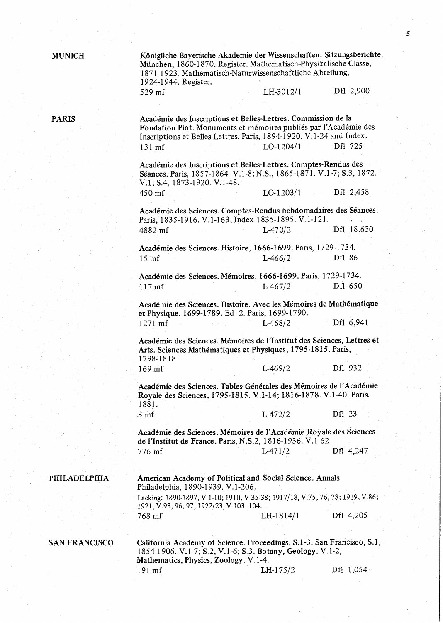MUNICH Konigliche Bayerische Akademie der Wissenschaften. Sitzungsberichte. München, 1860-1870. Register. Mathematisch-Physikalische Classe, 1871-1923.. Mathematisch-Naturwissenschaftliche Abteilung, 1924-1944. Register. 529 mf LH-3012/1 Dfl 2,900

PARIS Académie des Inscriptions et Belles-Lettres. Commission de la

Fondation Piot. Monuments et mémoires publiés par l'Académie des Inscriptions et Belles-Lettres. Paris, 1894-1920. V. 1-24 and Index. 131 mf LO-1204/1 Dfl 725 Academie des Inscriptions et Belles-Lettres. Comptes-Rendus des Séances. Paris, 1857-1864. V.1-8; N.S., 1865-1871. V.1-7; S.3, 1872. V.1; S.4, 1873-1920. V.1-48.  $450 \text{ m}$ f LO-1203/1 Dfl 2,458 Academie des Sciences. Comptes-Rendus hebdomadaires des Seances. Paris, 1835-1916. V.1-163; Index 1835-1895. V.1-121. 4882 mf L-470/2 Dfl 18,630 Academie des Sciences. Histoire, 1666-1699. Paris, 1729-1734.. 15 mf L-466/2 Dfl 86 Academie des Sciences. Memoires, 1666-1699.. Paris, 1729-1734, 117 mf L-467/2 Dfl 650 Académie des Sciences. Histoire. Avec les Mémoires de Mathématique et Physique. 1699-1789. Ed.. 2.. Paris, 1699-1790. 1271 mf L-468/2 Dfl 6,941 Academie des Sciences. Memoires de l'Institut des Sciences, Lettres et Arts. Sciences Mathematiques et Physiques, 1795-1815. Paris, 1798-1818. 169 mf L-469/2 Dfl 932 Académie des Sciences. Tables Générales des Mémoires de l'Académie Royale des Sciences, 1795-1815. V.1-14; 1816-1878. V.1-40. Paris, 1881. 3 mf L-472/2 Dfl 23 Academie des Sciences. Memoires de l'Academie Royale des Sciences de l'Institut de France. Paris, N.S.2, 1816-1936. V.1-62 776 mf L-471/2 Dfl 4,247 PHILADELPHIA American Academy of Political and Social Science. Annals. Philadelphia, 1890-1939. V.1-206.. Lacking: 1890-1897, V.1-10; 1910, V.35-38; 1917/18, V.75, 76, 78; 1919, V.86; 1921, V.93,96, 97; 1922/23, V.103, 104. 768 mf LH-1814/1 Dfl 4,205 SAN FRANCISCO California Academy of Science. Proceedings, S.1-3. San Francisco, S.1, 1854-1906. V.1-7; S.2, V.1-6; S.3. Botany, Geology. V.1-2,

Mathematics, Physics, Zoology. V..1-4.

191 mf LH-175/2 Dfl 1,054

5